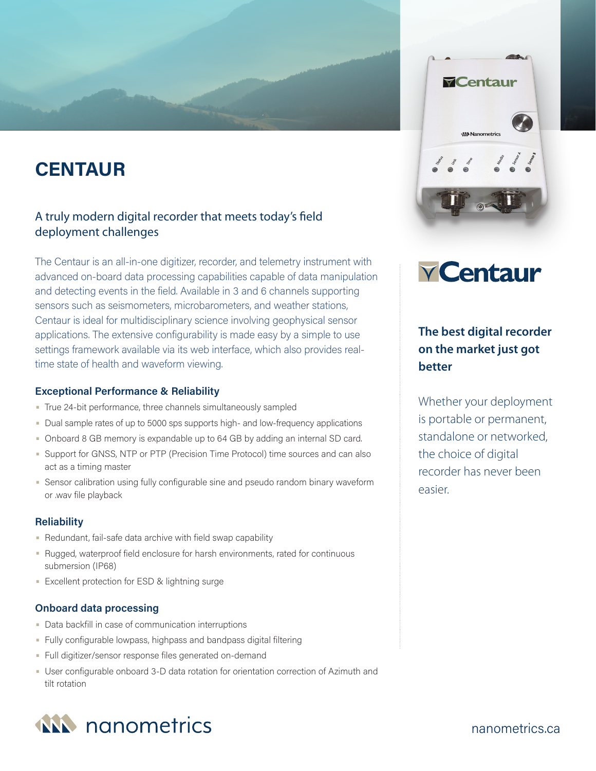# **CENTAUR**

# A truly modern digital recorder that meets today's field deployment challenges

The Centaur is an all-in-one digitizer, recorder, and telemetry instrument with advanced on-board data processing capabilities capable of data manipulation and detecting events in the field. Available in 3 and 6 channels supporting sensors such as seismometers, microbarometers, and weather stations, Centaur is ideal for multidisciplinary science involving geophysical sensor applications. The extensive configurability is made easy by a simple to use settings framework available via its web interface, which also provides realtime state of health and waveform viewing.

# **Exceptional Performance & Reliability**

- True 24-bit performance, three channels simultaneously sampled
- Dual sample rates of up to 5000 sps supports high- and low-frequency applications
- Onboard 8 GB memory is expandable up to 64 GB by adding an internal SD card.
- Support for GNSS, NTP or PTP (Precision Time Protocol) time sources and can also act as a timing master
- Sensor calibration using fully configurable sine and pseudo random binary waveform or .wav file playback

# **Reliability**

- Redundant, fail-safe data archive with field swap capability
- Rugged, waterproof field enclosure for harsh environments, rated for continuous submersion (IP68)
- Excellent protection for ESD & lightning surge

# **Onboard data processing**

- Data backfill in case of communication interruptions
- Fully configurable lowpass, highpass and bandpass digital filtering
- Full digitizer/sensor response files generated on-demand
- User configurable onboard 3-D data rotation for orientation correction of Azimuth and tilt rotation



# **V** Centaur

# **The best digital recorder on the market just got better**

Whether your deployment is portable or permanent, standalone or networked, the choice of digital recorder has never been easier.